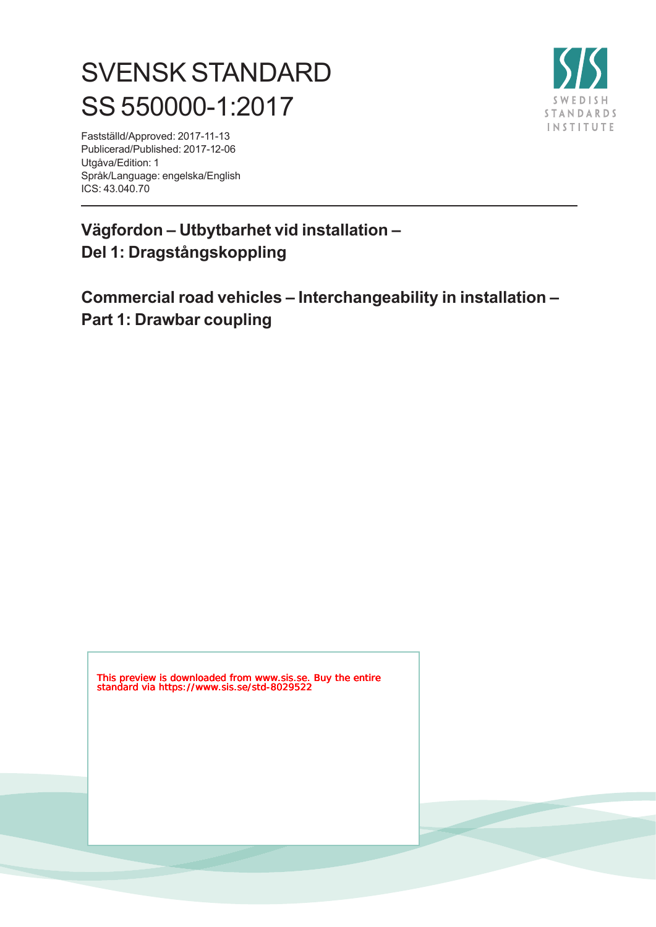# SVENSK STANDARD SS 550000-1:2017



Fastställd/Approved: 2017-11-13 Publicerad/Published: 2017-12-06 Utgåva/Edition: 1 Språk/Language: engelska/English ICS: 43.040.70

## **Vägfordon – Utbytbarhet vid installation – Del 1: Dragstångskoppling**

**Commercial road vehicles – Interchangeability in installation – Part 1: Drawbar coupling**

This preview is downloaded from www.sis.se. Buy the entire standard via https://www.sis.se/std-8029522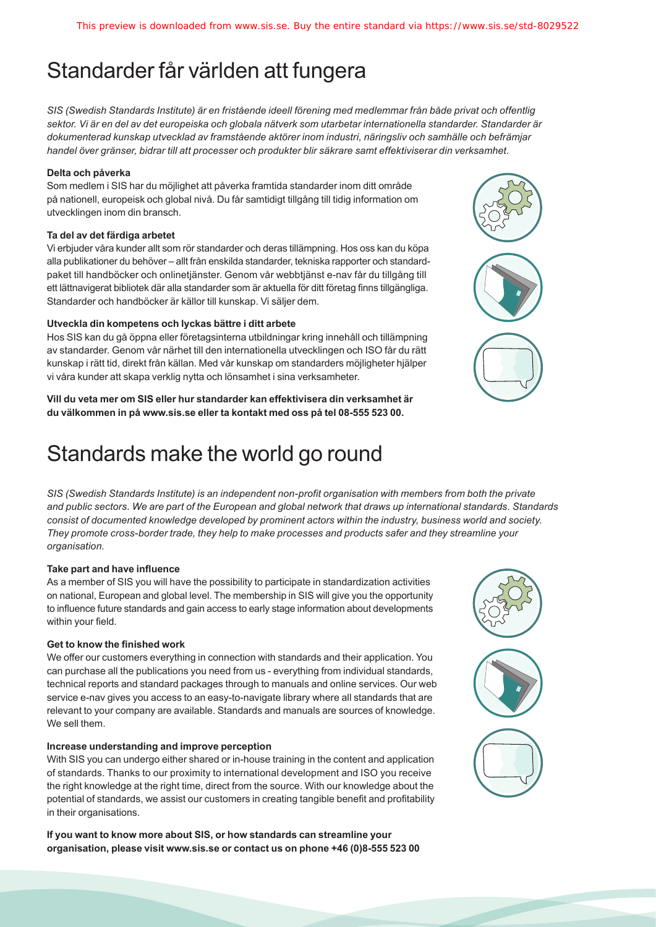## Standarder får världen att fungera

*SIS (Swedish Standards Institute) är en fristående ideell förening med medlemmar från både privat och offentlig sektor. Vi är en del av det europeiska och globala nätverk som utarbetar internationella standarder. Standarder är dokumenterad kunskap utvecklad av framstående aktörer inom industri, näringsliv och samhälle och befrämjar handel över gränser, bidrar till att processer och produkter blir säkrare samt effektiviserar din verksamhet.* 

#### **Delta och påverka**

Som medlem i SIS har du möjlighet att påverka framtida standarder inom ditt område på nationell, europeisk och global nivå. Du får samtidigt tillgång till tidig information om utvecklingen inom din bransch.

#### **Ta del av det färdiga arbetet**

Vi erbjuder våra kunder allt som rör standarder och deras tillämpning. Hos oss kan du köpa alla publikationer du behöver – allt från enskilda standarder, tekniska rapporter och standardpaket till handböcker och onlinetjänster. Genom vår webbtjänst e-nav får du tillgång till ett lättnavigerat bibliotek där alla standarder som är aktuella för ditt företag finns tillgängliga. Standarder och handböcker är källor till kunskap. Vi säljer dem.

#### **Utveckla din kompetens och lyckas bättre i ditt arbete**

Hos SIS kan du gå öppna eller företagsinterna utbildningar kring innehåll och tillämpning av standarder. Genom vår närhet till den internationella utvecklingen och ISO får du rätt kunskap i rätt tid, direkt från källan. Med vår kunskap om standarders möjligheter hjälper vi våra kunder att skapa verklig nytta och lönsamhet i sina verksamheter.

**Vill du veta mer om SIS eller hur standarder kan effektivisera din verksamhet är du välkommen in på www.sis.se eller ta kontakt med oss på tel 08-555 523 00.**

## Standards make the world go round

*SIS (Swedish Standards Institute) is an independent non-profit organisation with members from both the private and public sectors. We are part of the European and global network that draws up international standards. Standards consist of documented knowledge developed by prominent actors within the industry, business world and society. They promote cross-border trade, they help to make processes and products safer and they streamline your organisation.*

#### **Take part and have influence**

As a member of SIS you will have the possibility to participate in standardization activities on national, European and global level. The membership in SIS will give you the opportunity to influence future standards and gain access to early stage information about developments within your field.

#### **Get to know the finished work**

We offer our customers everything in connection with standards and their application. You can purchase all the publications you need from us - everything from individual standards, technical reports and standard packages through to manuals and online services. Our web service e-nav gives you access to an easy-to-navigate library where all standards that are relevant to your company are available. Standards and manuals are sources of knowledge. We sell them.

#### **Increase understanding and improve perception**

With SIS you can undergo either shared or in-house training in the content and application of standards. Thanks to our proximity to international development and ISO you receive the right knowledge at the right time, direct from the source. With our knowledge about the potential of standards, we assist our customers in creating tangible benefit and profitability in their organisations.

**If you want to know more about SIS, or how standards can streamline your organisation, please visit www.sis.se or contact us on phone +46 (0)8-555 523 00**



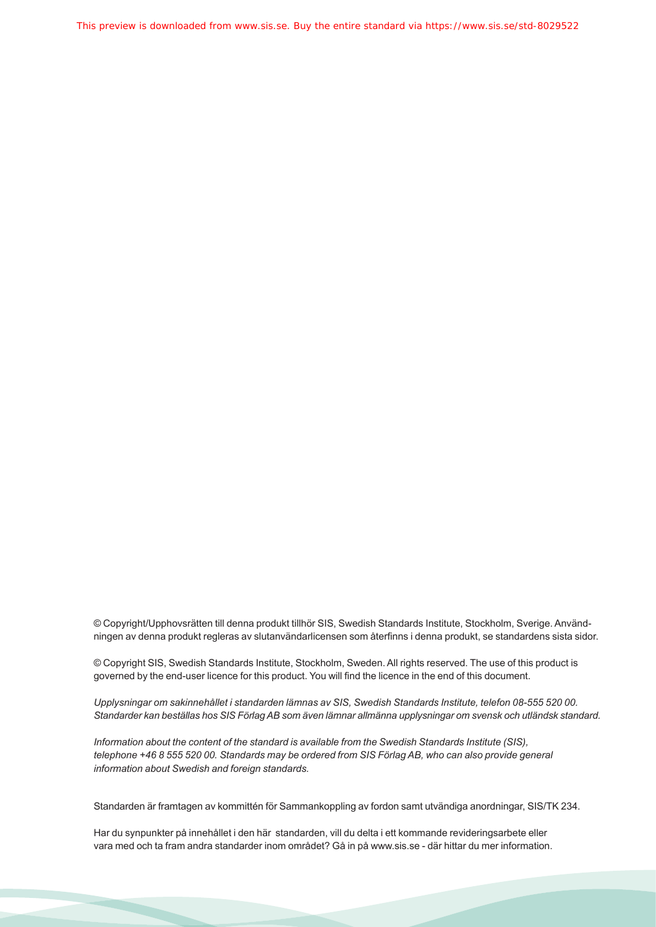This preview is downloaded from www.sis.se. Buy the entire standard via https://www.sis.se/std-8029522

© Copyright/Upphovsrätten till denna produkt tillhör SIS, Swedish Standards Institute, Stockholm, Sverige. Användningen av denna produkt regleras av slutanvändarlicensen som återfinns i denna produkt, se standardens sista sidor.

© Copyright SIS, Swedish Standards Institute, Stockholm, Sweden. All rights reserved. The use of this product is governed by the end-user licence for this product. You will find the licence in the end of this document.

*Upplysningar om sakinnehållet i standarden lämnas av SIS, Swedish Standards Institute, telefon 08-555 520 00. Standarder kan beställas hos SIS Förlag AB som även lämnar allmänna upplysningar om svensk och utländsk standard.*

*Information about the content of the standard is available from the Swedish Standards Institute (SIS), telephone +46 8 555 520 00. Standards may be ordered from SIS Förlag AB, who can also provide general information about Swedish and foreign standards.*

Standarden är framtagen av kommittén för Sammankoppling av fordon samt utvändiga anordningar, SIS/TK 234.

Har du synpunkter på innehållet i den här standarden, vill du delta i ett kommande revideringsarbete eller vara med och ta fram andra standarder inom området? Gå in på www.sis.se - där hittar du mer information.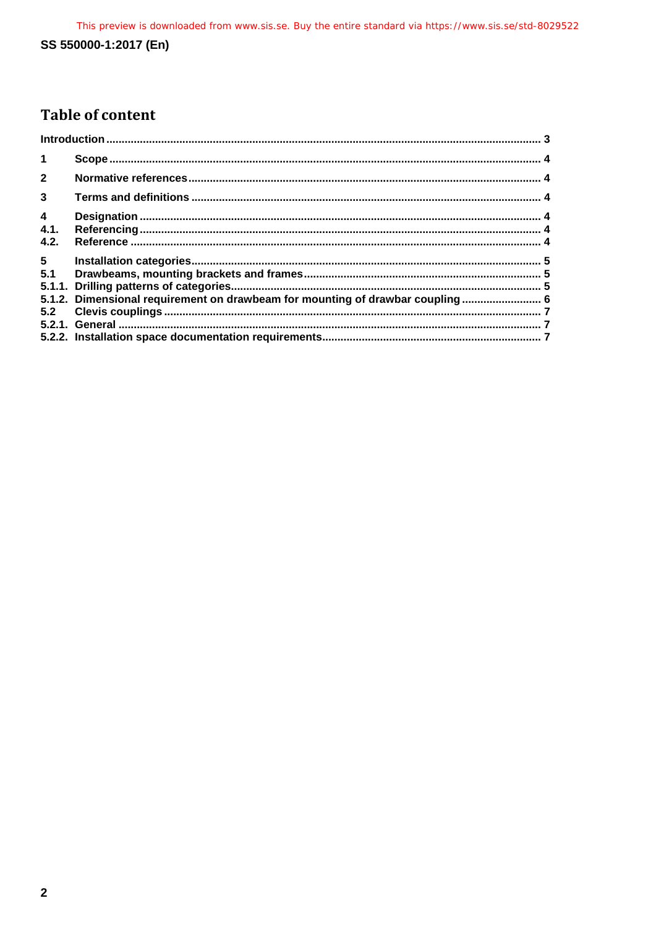## SS 550000-1:2017 (En)

## **Table of content**

| $\mathbf 1$             |                                                                               |  |
|-------------------------|-------------------------------------------------------------------------------|--|
| $\overline{2}$          |                                                                               |  |
| $\overline{3}$          |                                                                               |  |
| $\overline{\mathbf{4}}$ |                                                                               |  |
| 4.1.                    |                                                                               |  |
| 4.2.                    |                                                                               |  |
| 5 <sub>5</sub>          |                                                                               |  |
| 5.1                     |                                                                               |  |
|                         |                                                                               |  |
|                         | 5.1.2. Dimensional requirement on drawbeam for mounting of drawbar coupling 6 |  |
|                         |                                                                               |  |
|                         |                                                                               |  |
|                         |                                                                               |  |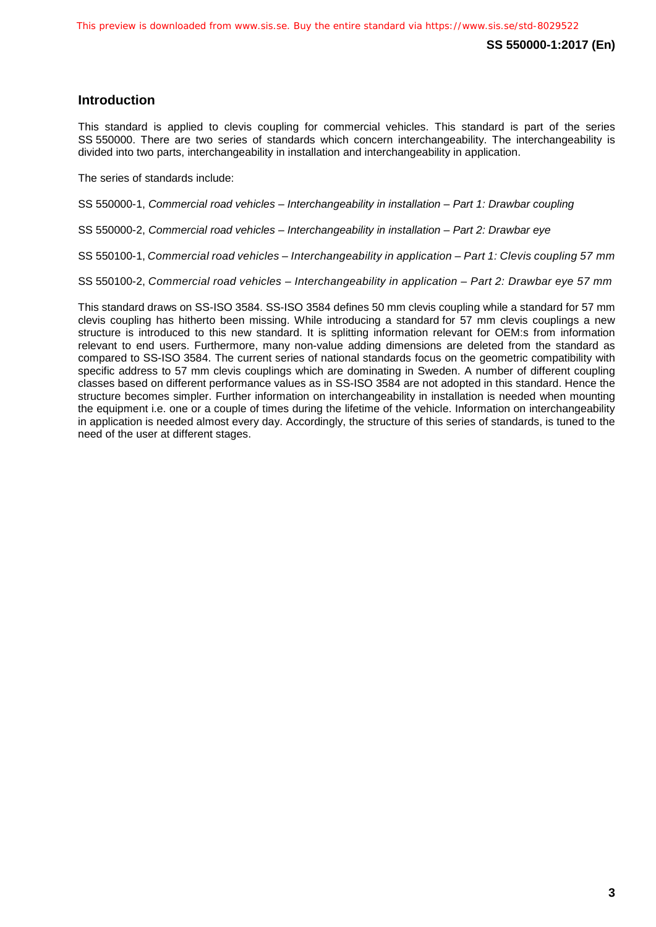### <span id="page-4-0"></span>**Introduction**

This standard is applied to clevis coupling for commercial vehicles. This standard is part of the series SS 550000. There are two series of standards which concern interchangeability. The interchangeability is divided into two parts, interchangeability in installation and interchangeability in application.

The series of standards include:

SS 550000-1, *Commercial road vehicles – Interchangeability in installation – Part 1: Drawbar coupling*

SS 550000-2, *Commercial road vehicles – Interchangeability in installation – Part 2: Drawbar eye*

SS 550100-1, *Commercial road vehicles – Interchangeability in application – Part 1: Clevis coupling 57 mm*

SS 550100-2, *Commercial road vehicles – Interchangeability in application – Part 2: Drawbar eye 57 mm*

This standard draws on SS-ISO 3584. SS-ISO 3584 defines 50 mm clevis coupling while a standard for 57 mm clevis coupling has hitherto been missing. While introducing a standard for 57 mm clevis couplings a new structure is introduced to this new standard. It is splitting information relevant for OEM:s from information relevant to end users. Furthermore, many non-value adding dimensions are deleted from the standard as compared to SS-ISO 3584. The current series of national standards focus on the geometric compatibility with specific address to 57 mm clevis couplings which are dominating in Sweden. A number of different coupling classes based on different performance values as in SS-ISO 3584 are not adopted in this standard. Hence the structure becomes simpler. Further information on interchangeability in installation is needed when mounting the equipment i.e. one or a couple of times during the lifetime of the vehicle. Information on interchangeability in application is needed almost every day. Accordingly, the structure of this series of standards, is tuned to the need of the user at different stages.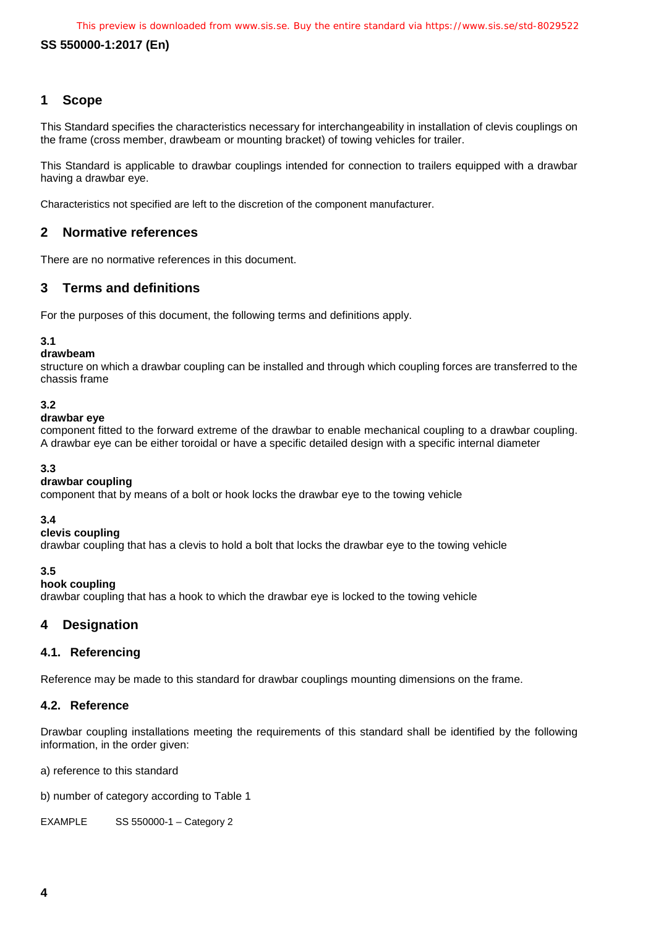#### **SS 550000-1:2017 (En)**

#### <span id="page-5-0"></span>**1 Scope**

This Standard specifies the characteristics necessary for interchangeability in installation of clevis couplings on the frame (cross member, drawbeam or mounting bracket) of towing vehicles for trailer.

This Standard is applicable to drawbar couplings intended for connection to trailers equipped with a drawbar having a drawbar eye.

Characteristics not specified are left to the discretion of the component manufacturer.

#### <span id="page-5-1"></span>**2 Normative references**

There are no normative references in this document.

#### <span id="page-5-2"></span>**3 Terms and definitions**

For the purposes of this document, the following terms and definitions apply.

#### **3.1**

#### **drawbeam**

structure on which a drawbar coupling can be installed and through which coupling forces are transferred to the chassis frame

#### **3.2**

#### **drawbar eye**

component fitted to the forward extreme of the drawbar to enable mechanical coupling to a drawbar coupling. A drawbar eye can be either toroidal or have a specific detailed design with a specific internal diameter

#### **3.3**

#### **drawbar coupling**

component that by means of a bolt or hook locks the drawbar eye to the towing vehicle

#### **3.4**

#### **clevis coupling**

drawbar coupling that has a clevis to hold a bolt that locks the drawbar eye to the towing vehicle

**3.5**

#### **hook coupling**

drawbar coupling that has a hook to which the drawbar eye is locked to the towing vehicle

#### <span id="page-5-3"></span>**4 Designation**

#### <span id="page-5-4"></span>**4.1. Referencing**

Reference may be made to this standard for drawbar couplings mounting dimensions on the frame.

#### <span id="page-5-5"></span>**4.2. Reference**

Drawbar coupling installations meeting the requirements of this standard shall be identified by the following information, in the order given:

a) reference to this standard

b) number of category according to Table 1

EXAMPLE SS 550000-1 – Category 2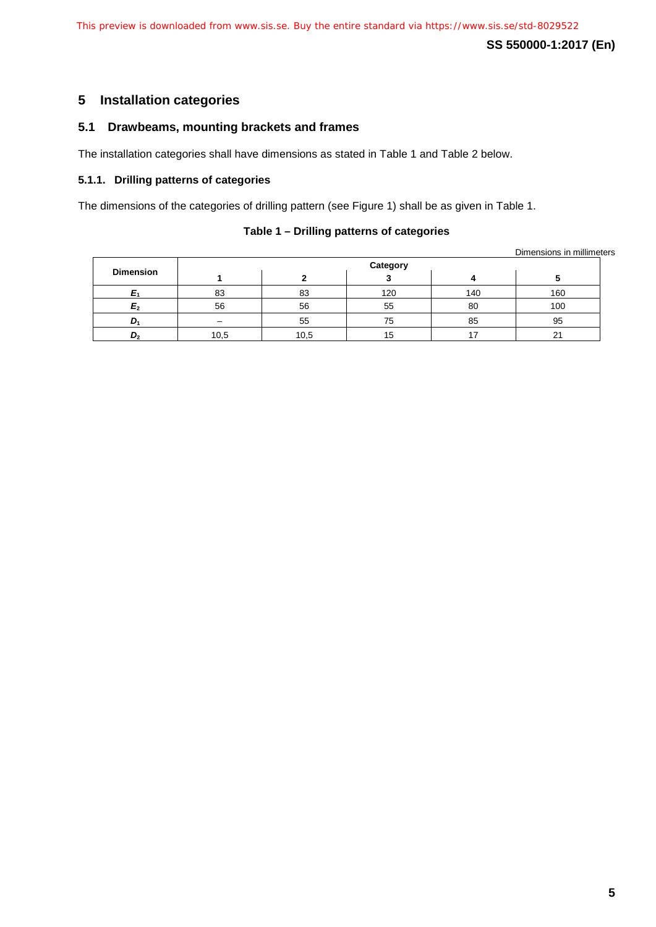**SS 550000-1:2017 (En)**

### <span id="page-6-0"></span>**5 Installation categories**

#### <span id="page-6-1"></span>**5.1 Drawbeams, mounting brackets and frames**

The installation categories shall have dimensions as stated in Table 1 and Table 2 below.

#### <span id="page-6-2"></span>**5.1.1. Drilling patterns of categories**

The dimensions of the categories of drilling pattern (see Figure 1) shall be as given in Table 1.

#### **Table 1 – Drilling patterns of categories**

Dimensions in millimeters

|                  | Category |      |     |     |                |  |  |
|------------------|----------|------|-----|-----|----------------|--|--|
| <b>Dimension</b> |          |      |     |     |                |  |  |
|                  | 83       | 83   | 120 | 140 | 160            |  |  |
| E <sub>2</sub>   | 56       | 56   | 55  | 80  | 100            |  |  |
| $D_1$            | -        | 55   | 75  | 85  | 95             |  |  |
| D <sub>2</sub>   | 10,5     | 10,5 | 15  |     | 2 <sup>1</sup> |  |  |